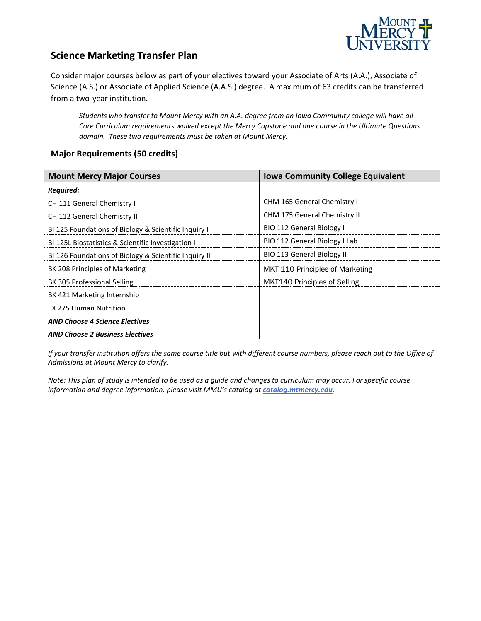

### **Science Marketing Transfer Plan**

Consider major courses below as part of your electives toward your Associate of Arts (A.A.), Associate of Science (A.S.) or Associate of Applied Science (A.A.S.) degree. A maximum of 63 credits can be transferred from a two-year institution.

*Students who transfer to Mount Mercy with an A.A. degree from an Iowa Community college will have all Core Curriculum requirements waived except the Mercy Capstone and one course in the Ultimate Questions domain. These two requirements must be taken at Mount Mercy.* 

#### **Major Requirements (50 credits)**

| <b>Mount Mercy Major Courses</b>                      | <b>Iowa Community College Equivalent</b> |
|-------------------------------------------------------|------------------------------------------|
| Required:                                             |                                          |
| CH 111 General Chemistry I                            | CHM 165 General Chemistry I              |
| CH 112 General Chemistry II                           | <b>CHM 175 General Chemistry II</b>      |
| BI 125 Foundations of Biology & Scientific Inquiry I  | BIO 112 General Biology I                |
| BI 125L Biostatistics & Scientific Investigation I    | BIO 112 General Biology I Lab            |
| BI 126 Foundations of Biology & Scientific Inquiry II | BIO 113 General Biology II               |
| BK 208 Principles of Marketing                        | MKT 110 Principles of Marketing          |
| BK 305 Professional Selling                           | MKT140 Principles of Selling             |
| BK 421 Marketing Internship                           |                                          |
| <b>EX 275 Human Nutrition</b>                         |                                          |
| <b>AND Choose 4 Science Electives</b>                 |                                          |
| <b>AND Choose 2 Business Electives</b>                |                                          |

*If your transfer institution offers the same course title but with different course numbers, please reach out to the Office of Admissions at Mount Mercy to clarify.*

*Note: This plan of study is intended to be used as a guide and changes to curriculum may occur. For specific course information and degree information, please visit MMU's catalog at catalog.mtmercy.edu.*